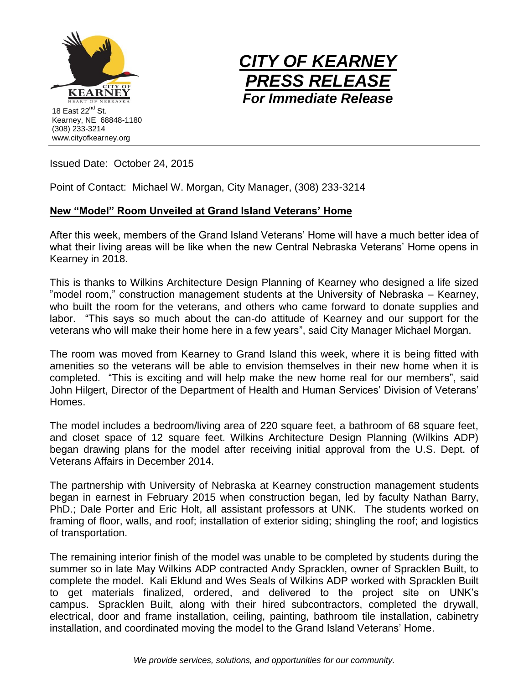



Issued Date: October 24, 2015

Point of Contact: Michael W. Morgan, City Manager, (308) 233-3214

## **New "Model" Room Unveiled at Grand Island Veterans' Home**

After this week, members of the Grand Island Veterans' Home will have a much better idea of what their living areas will be like when the new Central Nebraska Veterans' Home opens in Kearney in 2018.

This is thanks to Wilkins Architecture Design Planning of Kearney who designed a life sized "model room," construction management students at the University of Nebraska – Kearney, who built the room for the veterans, and others who came forward to donate supplies and labor. "This says so much about the can-do attitude of Kearney and our support for the veterans who will make their home here in a few years", said City Manager Michael Morgan.

The room was moved from Kearney to Grand Island this week, where it is being fitted with amenities so the veterans will be able to envision themselves in their new home when it is completed. "This is exciting and will help make the new home real for our members", said John Hilgert, Director of the Department of Health and Human Services' Division of Veterans' Homes.

The model includes a bedroom/living area of 220 square feet, a bathroom of 68 square feet, and closet space of 12 square feet. Wilkins Architecture Design Planning (Wilkins ADP) began drawing plans for the model after receiving initial approval from the U.S. Dept. of Veterans Affairs in December 2014.

The partnership with University of Nebraska at Kearney construction management students began in earnest in February 2015 when construction began, led by faculty Nathan Barry, PhD.; Dale Porter and Eric Holt, all assistant professors at UNK. The students worked on framing of floor, walls, and roof; installation of exterior siding; shingling the roof; and logistics of transportation.

The remaining interior finish of the model was unable to be completed by students during the summer so in late May Wilkins ADP contracted Andy Spracklen, owner of Spracklen Built, to complete the model. Kali Eklund and Wes Seals of Wilkins ADP worked with Spracklen Built to get materials finalized, ordered, and delivered to the project site on UNK's campus. Spracklen Built, along with their hired subcontractors, completed the drywall, electrical, door and frame installation, ceiling, painting, bathroom tile installation, cabinetry installation, and coordinated moving the model to the Grand Island Veterans' Home.